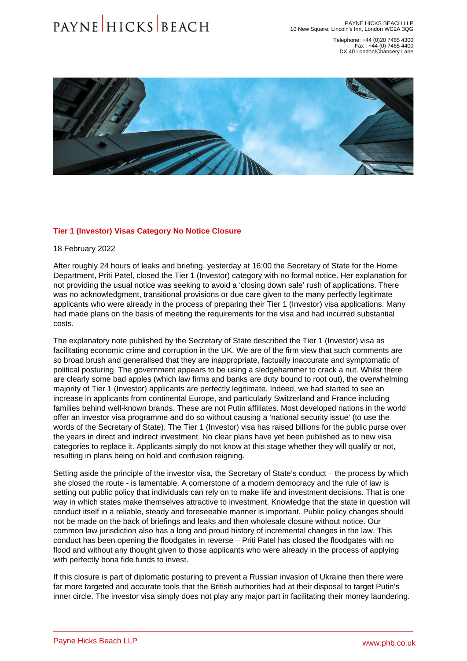Telephone: +44 (0)20 7465 4300 Fax : +44 (0) 7465 4400 DX 40 London/Chancery Lane

## Tier 1 (Investor) Visas Category No Notice Closure

18 February 2022

After roughly 24 hours of leaks and briefing, yesterday at 16:00 the Secretary of State for the Home Department, Priti Patel, closed the Tier 1 (Investor) category with no formal notice. Her explanation for not providing the usual notice was seeking to avoid a 'closing down sale' rush of applications. There was no acknowledgment, transitional provisions or due care given to the many perfectly legitimate applicants who were already in the process of preparing their Tier 1 (Investor) visa applications. Many had made plans on the basis of meeting the requirements for the visa and had incurred substantial costs.

The explanatory note published by the Secretary of State described the Tier 1 (Investor) visa as facilitating economic crime and corruption in the UK. We are of the firm view that such comments are so broad brush and generalised that they are inappropriate, factually inaccurate and symptomatic of political posturing. The government appears to be using a sledgehammer to crack a nut. Whilst there are clearly some bad apples (which law firms and banks are duty bound to root out), the overwhelming majority of Tier 1 (Investor) applicants are perfectly legitimate. Indeed, we had started to see an increase in applicants from continental Europe, and particularly Switzerland and France including families behind well-known brands. These are not Putin affiliates. Most developed nations in the world offer an investor visa programme and do so without causing a 'national security issue' (to use the words of the Secretary of State). The Tier 1 (Investor) visa has raised billions for the public purse over the years in direct and indirect investment. No clear plans have yet been published as to new visa categories to replace it. Applicants simply do not know at this stage whether they will qualify or not, resulting in plans being on hold and confusion reigning.

Setting aside the principle of the investor visa, the Secretary of State's conduct – the process by which she closed the route - is lamentable. A cornerstone of a modern democracy and the rule of law is setting out public policy that individuals can rely on to make life and investment decisions. That is one way in which states make themselves attractive to investment. Knowledge that the state in question will conduct itself in a reliable, steady and foreseeable manner is important. Public policy changes should not be made on the back of briefings and leaks and then wholesale closure without notice. Our common law jurisdiction also has a long and proud history of incremental changes in the law. This conduct has been opening the floodgates in reverse – Priti Patel has closed the floodgates with no flood and without any thought given to those applicants who were already in the process of applying with perfectly bona fide funds to invest.

If this closure is part of diplomatic posturing to prevent a Russian invasion of Ukraine then there were far more targeted and accurate tools that the British authorities had at their disposal to target Putin's inner circle. The investor visa simply does not play any major part in facilitating their money laundering.